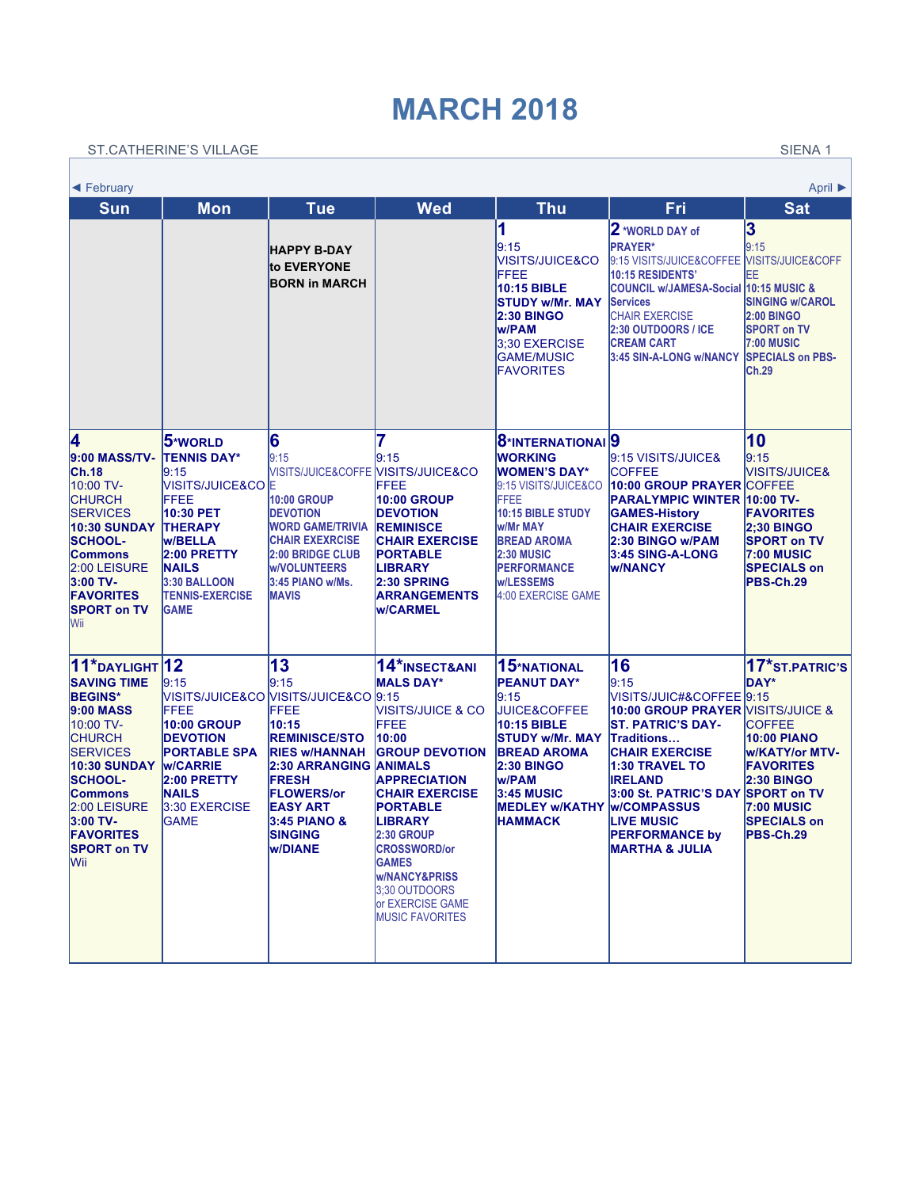## **MARCH 2018**

[ST.CAT](https://www.wincalendar.com/Holiday-Calendar/February-2018)HERINE'S VILLAGE SERVER SIE[NA 1](https://www.wincalendar.com/Holiday-Calendar/April-2018)

Г

٦

| April ▶<br>$\blacktriangleleft$ February                                                                                                                                                                                                                                    |                                                                                                                                                                                                              |                                                                                                                                                                                                                                                                      |                                                                                                                                                                                                                                                                                                                                                         |                                                                                                                                                                                                                                                                 |                                                                                                                                                                                                                                                                                                                     |                                                                                                                                                                                                                      |  |  |  |
|-----------------------------------------------------------------------------------------------------------------------------------------------------------------------------------------------------------------------------------------------------------------------------|--------------------------------------------------------------------------------------------------------------------------------------------------------------------------------------------------------------|----------------------------------------------------------------------------------------------------------------------------------------------------------------------------------------------------------------------------------------------------------------------|---------------------------------------------------------------------------------------------------------------------------------------------------------------------------------------------------------------------------------------------------------------------------------------------------------------------------------------------------------|-----------------------------------------------------------------------------------------------------------------------------------------------------------------------------------------------------------------------------------------------------------------|---------------------------------------------------------------------------------------------------------------------------------------------------------------------------------------------------------------------------------------------------------------------------------------------------------------------|----------------------------------------------------------------------------------------------------------------------------------------------------------------------------------------------------------------------|--|--|--|
| <b>Sun</b>                                                                                                                                                                                                                                                                  | <b>Mon</b>                                                                                                                                                                                                   | <b>Tue</b>                                                                                                                                                                                                                                                           | <b>Wed</b>                                                                                                                                                                                                                                                                                                                                              | <b>Thu</b>                                                                                                                                                                                                                                                      | Fri                                                                                                                                                                                                                                                                                                                 | <b>Sat</b>                                                                                                                                                                                                           |  |  |  |
|                                                                                                                                                                                                                                                                             |                                                                                                                                                                                                              | <b>HAPPY B-DAY</b><br>to EVERYONE<br><b>BORN in MARCH</b>                                                                                                                                                                                                            |                                                                                                                                                                                                                                                                                                                                                         | 1<br>9:15<br>VISITS/JUICE&CO<br>FFEE<br>10:15 BIBLE<br><b>STUDY w/Mr. MAY</b><br><b>2:30 BINGO</b><br>lw/PAM<br>3:30 EXERCISE<br><b>GAME/MUSIC</b><br><b>FAVORITES</b>                                                                                          | 2 *WORLD DAY of<br><b>PRAYER*</b><br>9:15 VISITS/JUICE&COFFEE<br><b>10:15 RESIDENTS'</b><br><b>COUNCIL w/JAMESA-Social 10:15 MUSIC &amp;</b><br><b>Services</b><br><b>CHAIR EXERCISE</b><br><b>2:30 OUTDOORS / ICE</b><br><b>CREAM CART</b><br>3:45 SIN-A-LONG w/NANCY                                              | 3<br>9:15<br>VISITS/JUICE&COFF<br>EΕ<br><b>SINGING w/CAROL</b><br><b>2:00 BINGO</b><br><b>SPORT on TV</b><br><b>7:00 MUSIC</b><br><b>SPECIALS on PBS-</b><br><b>Ch.29</b>                                            |  |  |  |
| 4<br>9:00 MASS/TV-<br><b>Ch.18</b><br>10:00 TV-<br><b>CHURCH</b><br><b>SERVICES</b><br><b>10:30 SUNDAY</b><br><b>SCHOOL-</b><br><b>Commons</b><br>2:00 LEISURE<br>3:00 TV-<br><b>FAVORITES</b><br><b>SPORT on TV</b><br>Wii                                                 | 5*world<br><b>TENNIS DAY*</b><br>9:15<br>VISITS/JUICE&CO  E<br>FFEE<br>10:30 PET<br><b>THERAPY</b><br><b>W/BELLA</b><br>2:00 PRETTY<br><b>NAILS</b><br>3:30 BALLOON<br><b>TENNIS-EXERCISE</b><br><b>GAME</b> | 6<br>l9:15<br><b>10:00 GROUP</b><br><b>DEVOTION</b><br><b>WORD GAME/TRIVIA</b><br><b>CHAIR EXEXRCISE</b><br><b>2:00 BRIDGE CLUB</b><br><b>W/VOLUNTEERS</b><br>3:45 PIANO w/Ms.<br><b>MAVIS</b>                                                                       | 9:15<br>VISITS/JUICE&COFFE <b>[VISITS/JUICE&amp;CO</b><br>FFEE<br><b>10:00 GROUP</b><br><b>DEVOTION</b><br><b>REMINISCE</b><br><b>CHAIR EXERCISE</b><br><b>PORTABLE</b><br><b>LIBRARY</b><br>2:30 SPRING<br><b>ARRANGEMENTS</b><br><b>W/CARMEL</b>                                                                                                      | 8 <sup>*</sup> INTERNATIONAI <sup>9</sup><br><b>WORKING</b><br><b>WOMEN'S DAY*</b><br>9:15 VISITS/JUICE&CO<br>FFEE<br>10:15 BIBLE STUDY<br>lw/Mr MAY<br><b>BREAD AROMA</b><br><b>2:30 MUSIC</b><br><b>PERFORMANCE</b><br><b>w/LESSEMS</b><br>4:00 EXERCISE GAME | 9:15 VISITS/JUICE&<br><b>COFFEE</b><br>10:00 GROUP PRAYER COFFEE<br>PARALYMPIC WINTER 10:00 TV-<br><b>GAMES-History</b><br><b>CHAIR EXERCISE</b><br>2:30 BINGO w/PAM<br>3:45 SING-A-LONG<br><b>W/NANCY</b>                                                                                                          | 10<br>9:15<br><b>VISITS/JUICE&amp;</b><br><b>FAVORITES</b><br><b>2:30 BINGO</b><br><b>SPORT on TV</b><br><b>7:00 MUSIC</b><br><b>SPECIALS on</b><br><b>PBS-Ch.29</b>                                                 |  |  |  |
| $11*$ DAYLIGHT $12$<br><b>SAVING TIME</b><br><b>BEGINS*</b><br>$ 9:00$ MASS<br>10:00 TV-<br><b>CHURCH</b><br><b>SERVICES</b><br><b>10:30 SUNDAY</b><br><b>SCHOOL-</b><br><b>Commons</b><br>2:00 LEISURE<br>3:00 TV-<br><b>FAVORITES</b><br><b>SPORT on TV</b><br><b>Wii</b> | 9:15<br>FFEE<br><b>10:00 GROUP</b><br><b>DEVOTION</b><br><b>PORTABLE SPA</b><br><b>W/CARRIE</b><br>2:00 PRETTY<br><b>NAILS</b><br>3:30 EXERCISE<br><b>GAME</b>                                               | 13<br>9:15<br>VISITS/JUICE&CO VISITS/JUICE&CO 9:15<br>FFEE<br>10:15<br><b>REMINISCE/STO</b><br><b>RIES W/HANNAH</b><br><b>2:30 ARRANGING ANIMALS</b><br><b>FRESH</b><br><b>FLOWERS/or</b><br>EASY ART<br><b>3:45 PIANO &amp;</b><br><b>SINGING</b><br><b>W/DIANE</b> | 14*INSECT&ANI<br><b>MALS DAY*</b><br><b>VISITS/JUICE &amp; CO</b><br><b>FFEE</b><br>10:00<br><b>GROUP DEVOTION</b><br><b>APPRECIATION</b><br><b>CHAIR EXERCISE</b><br><b>PORTABLE</b><br><b>LIBRARY</b><br>2:30 GROUP<br><b>CROSSWORD/or</b><br><b>GAMES</b><br><b>W/NANCY&amp;PRISS</b><br>3:30 OUTDOORS<br>or EXERCISE GAME<br><b>MUSIC FAVORITES</b> | 15*NATIONAL<br><b>PEANUT DAY*</b><br>9:15<br><b>JUICE&amp;COFFEE</b><br>10:15 BIBLE<br><b>ISTUDY w/Mr. MAY</b><br><b>BREAD AROMA</b><br><b>2:30 BINGO</b><br>lw/PAM<br>3:45 MUSIC<br><b>MEDLEY w/KATHY</b><br><b>HAMMACK</b>                                    | 16<br>9:15<br>VISITS/JUIC#&COFFEE 9:15<br>10:00 GROUP PRAYER VISITS/JUICE &<br><b>ST. PATRIC'S DAY-</b><br><b>Traditions</b><br><b>CHAIR EXERCISE</b><br>1:30 TRAVEL TO<br><b>IRELAND</b><br>3:00 St. PATRIC'S DAY<br><b>W/COMPASSUS</b><br><b>LIVE MUSIC</b><br><b>PERFORMANCE by</b><br><b>MARTHA &amp; JULIA</b> | 17*ST.PATRIC'S<br>DAY*<br><b>COFFEE</b><br><b>10:00 PIANO</b><br><b>w/KATY/or MTV-</b><br><b>FAVORITES</b><br><b>2:30 BINGO</b><br><b>SPORT on TV</b><br><b>7:00 MUSIC</b><br><b>SPECIALS on</b><br><b>PBS-Ch.29</b> |  |  |  |